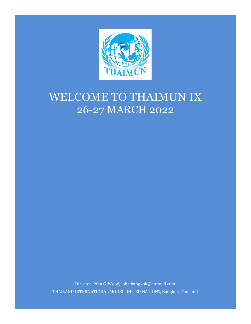

# WELCOME TO THAIMUN IX 26-27 MARCH 2022

Director: John G. Wood, john.bangkok@hotmail.com THAILAND INTERNATIONAL MODEL UNITED NATIONS, Bangkok, Thailand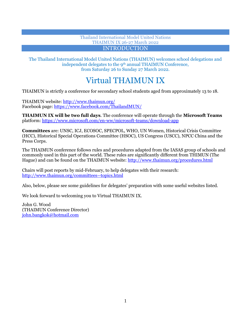# Thailand International Model United Nations THAIMUN IX 26-27 March 2022 INTRODUCTION

Ī

The Thailand International Model United Nations (THAIMUN) welcomes school delegations and independent delegates to the 9<sup>th</sup> annual THAIMUN Conference, from Saturday 26 to Sunday 27 March 2022.

# Virtual THAIMUN IX

THAIMUN is strictly a conference for secondary school students aged from approximately 13 to 18.

THAIMUN website:<http://www.thaimun.org/> Facebook page:<https://www.facebook.com/ThailandMUN/>

**THAIMUN IX will be two full days**. The conference will operate through the **Microsoft Teams**  platform[: https://www.microsoft.com/en-ww/microsoft-teams/download-app](https://www.microsoft.com/en-ww/microsoft-teams/download-app)

**Committees** are: UNSC, ICJ, ECOSOC, SPECPOL, WHO, UN Women, Historical Crisis Committee (HCC), Historical Special Operations Committee (HSOC), US Congress (USCC), NPCC China and the Press Corps.

The THAIMUN conference follows rules and procedures adapted from the IASAS group of schools and commonly used in this part of the world. These rules are significantly different from THIMUN (The Hague) and can be found on the THAIMUN website[: http://www.thaimun.org/procedures.html](http://www.thaimun.org/procedures.html)

Chairs will post reports by mid-February, to help delegates with their research: <http://www.thaimun.org/committees--topics.html>

Also, below, please see some guidelines for delegates' preparation with some useful websites listed.

We look forward to welcoming you to Virtual THAIMUN IX.

John G. Wood (THAIMUN Conference Director) [john.bangkok@hotmail.com](mailto:john.bangkok@hotmail.com)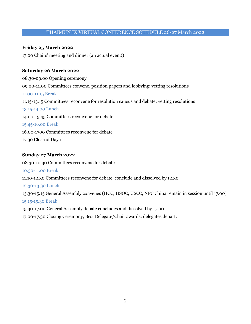# THAIMUN IX VIRTUAL CONFERENCE SCHEDULE 26-27 March 2022

# **Friday 25 March 2022**

17.00 Chairs' meeting and dinner (an actual event!)

#### **Saturday 26 March 2022**

08.30-09.00 Opening ceremony 09.00-11.00 Committees convene, position papers and lobbying; vetting resolutions 11.00-11.15 Break 11.15-13.15 Committees reconvene for resolution caucus and debate; vetting resolutions 13.15-14.00 Lunch 14.00-15.45 Committees reconvene for debate 15.45-16.00 Break 16.00-1700 Committees reconvene for debate 17.30 Close of Day 1

#### **Sunday 27 March 2022**

08.30-10.30 Committees reconvene for debate 10.30-11.00 Break 11.10-12.30 Committees reconvene for debate, conclude and dissolved by 12.30 12.30-13.30 Lunch 13.30-15.15 General Assembly convenes (HCC, HSOC, USCC, NPC China remain in session until 17.00) 15.15-15.30 Break 15.30-17.00 General Assembly debate concludes and dissolved by 17.00

17.00-17.30 Closing Ceremony, Best Delegate/Chair awards; delegates depart.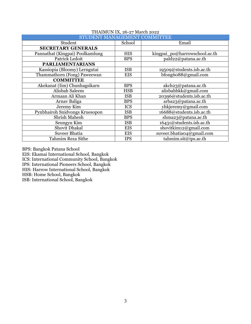| STUDENT MANAGEMENT COMMITTEE    |            |                               |  |  |  |
|---------------------------------|------------|-------------------------------|--|--|--|
| Student                         | School     | Email                         |  |  |  |
| <b>SECRETARY GENERALS</b>       |            |                               |  |  |  |
| Pannathat (Kingpai) Poolkamlung | <b>HIS</b> | kingpai_po@harrowschool.ac.th |  |  |  |
| Patrick Ledoit                  | <b>BPS</b> | pald22@patana.ac.th           |  |  |  |
| <b>PARLIAMENTARIANS</b>         |            |                               |  |  |  |
| Kassiopia (Bloomy) Lerngutai    | <b>ISB</b> | 19509@students.isb.ac.th      |  |  |  |
| Thammathorn (Fong) Paweewan     | <b>EIS</b> | bfong6088@gmail.com           |  |  |  |
| <b>COMMITTEE</b>                |            |                               |  |  |  |
| Akekanat (Iim) Chunhagsikarn    | <b>BPS</b> | akch23@patana.ac.th           |  |  |  |
| <b>Alisbah Saleem</b>           | <b>HSB</b> | alisbahbkk@gmail.com          |  |  |  |
| Armaan Ali Khan                 | <b>ISB</b> | 20396@students.isb.ac.th      |  |  |  |
| Arnav Baliga                    | <b>BPS</b> | arba23@patana.ac.th           |  |  |  |
| Jeremy Kim                      | <b>ICS</b> | yhkjeremy@gmail.com           |  |  |  |
| Pynbhairoh Snidvongs Kruesopon  | <b>ISB</b> | 16688@students.isb.ac.th      |  |  |  |
| <b>Shrish Mahesh</b>            | <b>BPS</b> | shma23@patana.ac.th           |  |  |  |
| Seungyu Kim                     | <b>ISB</b> | 16431@students.isb.ac.th      |  |  |  |
| Shovit Dhakal                   | <b>EIS</b> | shovitkim12@gmail.com         |  |  |  |
| <b>Suveer Bhatia</b>            | <b>EIS</b> | suveer.bhatia04@gmail.com     |  |  |  |
| Tahmim Reza Sithe               | <b>IPS</b> | tahmim.sit@ips.ac.th          |  |  |  |

# THAIMUN IX, 26-27 March 2022

BPS: Bangkok Patana School

EIS: Ekamai International School, Bangkok

ICS: International Community School, Bangkok

IPS: International Pioneers School, Bangkok

HIS: Harrow International School, Bangkok

HSB: Home School, Bangkok

ISB: International School, Bangkok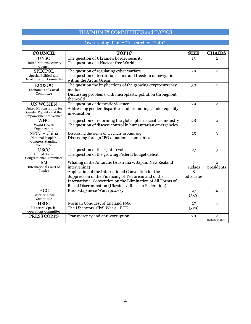# THAIMUN IX COMMITTEES and TOPICS

# Overarching theme: "In search of Truth".

| <b>COUNCIL</b>                                                                                         | <b>TOPIC</b>                                                                                                                                                                                                                                                                                                     | <b>SIZE</b>                                | <b>CHAIRS</b>                        |
|--------------------------------------------------------------------------------------------------------|------------------------------------------------------------------------------------------------------------------------------------------------------------------------------------------------------------------------------------------------------------------------------------------------------------------|--------------------------------------------|--------------------------------------|
| <b>UNSC</b><br><b>United Nations Security</b><br>Council                                               | The question of Ukraine's border security<br>The question of a Nuclear free World                                                                                                                                                                                                                                | 15                                         | $\overline{2}$                       |
| <b>SPECPOL</b><br>Special Political and<br>Decolonization Committee                                    | The question of regulating cyber warfare<br>The question of territorial claims and freedom of navigation<br>within the Arctic Ocean                                                                                                                                                                              | 29                                         | $\overline{2}$                       |
| <b>ECOSOC</b><br><b>Economic and Social</b><br>Committee                                               | The question the implications of the growing cryptocurrency<br>market<br>Discussing problems with microplastic pollution throughout<br>the world                                                                                                                                                                 | 30                                         | $\mathbf{2}$                         |
| <b>UN WOMEN</b><br>United Nations Entity for<br>Gender Equality and the<br><b>Empowerment of Women</b> | The question of domestic violence<br>Addressing gender disparities and promoting gender equality<br>in education                                                                                                                                                                                                 | 29                                         | $\overline{2}$                       |
| <b>WHO</b><br>World Health<br>Organization                                                             | The question of reforming the global pharmaceutical industry<br>The question of disease control in humanitarian emergencies                                                                                                                                                                                      | 28                                         | $\overline{2}$                       |
| NPCC - China<br>National People's<br><b>Congress Standing</b><br>Committee                             | Discussing the rights of Uyghurs in Xinjiang<br>Discussing foreign IPO of national companies                                                                                                                                                                                                                     | 25                                         | 3                                    |
| <b>USCC</b><br><b>United States</b><br>Congressional Committee                                         | The question of the right to vote<br>The question of the growing Federal budget deficit                                                                                                                                                                                                                          | 27                                         | 3                                    |
| <b>ICJ</b><br><b>International Court of</b><br>Justice                                                 | Whaling in the Antarctic (Australia v. Japan: New Zealand<br>intervening)<br>Application of the International Convention for the<br>Suppression of the Financing of Terrorism and of the<br>International Convention on the Elimination of All Forms of<br>Racial Discrimination (Ukraine v. Russian Federation) | $\overline{7}$<br>Judges<br>8<br>advocates | $\overline{2}$<br>presidents         |
| <b>HCC</b><br><b>Historical Crisis</b><br>Committee                                                    | Russo-Japanese War, 1904-05                                                                                                                                                                                                                                                                                      | 27<br>(3x9)                                | 4                                    |
| <b>HSOC</b><br><b>Historical Special</b><br><b>Operations Committee</b>                                | Norman Conquest of England 1066<br>The Liberators' Civil War 44 BCE                                                                                                                                                                                                                                              | 27<br>(3x9)                                | $\overline{4}$                       |
| PRESS CORPS                                                                                            | Transparency and anti-corruption                                                                                                                                                                                                                                                                                 | 20                                         | $\overline{2}$<br>(Editors-in-chief) |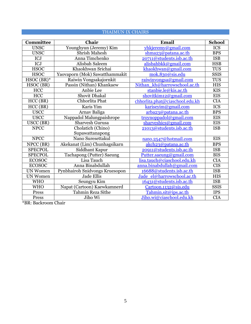# THAIMUN IX CHAIRS AND THE RESERVE AND THE RESERVE AND THE RESERVE AND THE RESERVE AND THE RESERVE AND THE RESERVE AND THE RESERVE AND THE RESERVE AND THE RESERVE AND THE RESERVE AND THE RESERVE AND THE RESERVE AND THE RESE

| <b>Committee</b> | Chair                          | Email                           | <b>School</b> |
|------------------|--------------------------------|---------------------------------|---------------|
| <b>UNSC</b>      | Younghyun (Jeremy) Kim         | yhkjeremy@gmail.com             | <b>ICS</b>    |
| <b>UNSC</b>      | Shrish Mahesh                  | shma23@patana.ac.th             | <b>BPS</b>    |
| ICJ              | Anna Timchenko                 | 20711@students.isb.ac.th        | <b>ISB</b>    |
| ICJ              | Alisbah Saleem                 | alisbahbkk@gmail.com            | <b>HSB</b>    |
| <b>HSOC</b>      | Khaokhwan Srichai              | khaokhwan@gmail.com             | <b>TUS</b>    |
| <b>HSOC</b>      | Yaovaporn (Mok) Sawatthammakit | mok.830@sis.edu                 | <b>SSIS</b>   |
| $HSOC(BR)^*$     | Raiwin Vongsakajornkit         | raiwinvongsa@gmail.com          | <b>TUS</b>    |
| HSOC(BR)         | Passin (Nithan) Khankaew       | Nithan kh@harrowschool.ac.th    | <b>HIS</b>    |
| HCC              | Anbie Lee                      | stanbie.le@kis.ac.th            | <b>KIS</b>    |
| <b>HCC</b>       | Shovit Dhakal                  | shovitkim12@gmail.com           | <b>EIS</b>    |
| HCC (BR)         | Chhorlita Phat                 | chhorlita.phat@ciaschool.edu.kh | <b>CIA</b>    |
| HCC(BR)          | Karis Yim                      | kariseyim@gmail.com             | ICS           |
| <b>USCC</b>      | Arnav Baliga                   | arba23@patana.ac.th             | <b>BPS</b>    |
| <b>USCC</b>      | Nappadol Malungpaishrope       | troynoppadol@gmail.com          | <b>EIS</b>    |
| USCC (BR)        | Sharvesh Gurusa                | sharveshics@gmail.com           | <b>EIS</b>    |
| <b>NPCC</b>      | Cholatich (Chino)              | 21013@students.isb.ac.th        | <b>ISB</b>    |
|                  | Supawattanapong                |                                 |               |
| <b>NPCC</b>      | Nano Suresettakul              | nano.2547@hotmail.com           | <b>EIS</b>    |
| NPCC (BR)        | Akekanat (Lim) Chunhagsikarn   | akch23@patana.ac.th             | <b>BPS</b>    |
| <b>SPECPOL</b>   | Siddhant Kapur                 | 20911@students.isb.ac.th        | <b>ISB</b>    |
| <b>SPECPOL</b>   | Tachapong (Putter) Saeung      | Putter.saeung@gmail.com         | <b>BIS</b>    |
| <b>ECOSOC</b>    | Lisa Tauch                     | lisa.tauch@ciaschool.edu.kh     | <b>CIA</b>    |
| <b>ECOSOC</b>    | Anna Binabdullah               | anna.binabdullah@gmail.com      | <b>CIS</b>    |
| <b>UN Women</b>  | Pynbhairoh Snidvongs Kruesopon | 16688@students.isb.ac.th        | <b>ISB</b>    |
| <b>UN Women</b>  | Jade Ellis                     | Jade el@harrowschool.ac.th      | <b>HIS</b>    |
| <b>WHO</b>       | Seungyu Kim                    | 16431@students.isb.ac.th        | <b>ISB</b>    |
| <b>WHO</b>       | Napat (Cartoon) Kaewkamnerd    | Cartoon.1132@sis.edu            | <b>SSIS</b>   |
| Press            | Tahmin Reza Sithe              | Tahmin.sit@ips.ac.th            | <b>IPS</b>    |
| Press            | Jiho Wi                        | Jiho.wi@ciaschool.edu.kh        | <b>CIA</b>    |

\*BR: Backroom Chair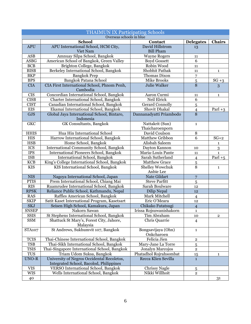| <b>THAIMUN IX Participating Schools</b> |                                                         |                                  |                         |                |  |
|-----------------------------------------|---------------------------------------------------------|----------------------------------|-------------------------|----------------|--|
|                                         | Overseas schools in blue<br><b>School</b>               |                                  |                         |                |  |
| <b>APU</b>                              | APU International School, HCM City,                     | Contact<br>David Hillstrom       | <b>Delegates</b>        | <b>Chairs</b>  |  |
|                                         | Viet Nam                                                | <b>Bill Pham</b>                 | 13                      |                |  |
| ${\rm ASB}$                             | Amnuay Silpa School, Bangkok                            | <b>Wayne Rogers</b>              | 11                      |                |  |
| <b>ASBG</b>                             | American School of Bangkok, Green Valley                | <b>Boyd Gossett</b>              | 6                       |                |  |
| <b>BCB</b>                              | Brighton College, Bangkok                               | Robin Wood                       | 11                      |                |  |
| <b>BISB</b>                             | Berkeley International School, Bangkok                  | Shobhit Pathak                   | 11                      | $\mathbf{1}$   |  |
| <b>BKP</b>                              | <b>Bangkok Prep</b>                                     | Thomas Dixon                     | $\overline{7}$          |                |  |
| <b>BPS</b>                              | Bangkok Patana School                                   | <b>Mike Brooks</b>               | $\overline{5}$          | $SG + 3$       |  |
| <b>CIA</b>                              | CIA First International School, Phnom Penh,<br>Cambodia | Julie Walker                     | 8                       | 3              |  |
| <b>CIS</b>                              | Concordian International School, Bangkok                | Aaron Curmi                      | 11                      | $\mathbf{1}$   |  |
| <b>CISB</b>                             | Charter International School, Bangkok                   | Neil Elrick                      | 6                       |                |  |
| <b>CIST</b>                             | Canadian International School, Bangkok                  | <b>Gerard Connolly</b>           | 5                       |                |  |
| ${\rm EIS}$                             | Ekamai International School, Bangkok                    | Shovit Dhakal                    | $\overline{4}$          | Parl $+3$      |  |
| GJS                                     | Global Jaya International School, Bintaro,<br>Indonesia | Dannanadyatti Priambodo          | $\overline{8}$          |                |  |
| <b>GKC</b>                              | <b>GK</b> Consultants, Bangkok                          | Nattakrit (Sun)                  | $\mathbf 1$             |                |  |
|                                         |                                                         | Thaicharoenporn                  |                         |                |  |
| <b>HHIS</b>                             | Hua Hin International School                            | David Coulson                    | $\, 8$                  |                |  |
| <b>HIS</b>                              | Harrow International School, Bangkok                    | Matthew Gribbon                  | 6                       | $SG+2$         |  |
| <b>HSB</b>                              | Home School, Bangkok                                    | Alisbah Saleem                   |                         | $\mathbf{1}$   |  |
| <b>ICS</b>                              | <b>International Community School, Bangkok</b>          | Dayton Kannon                    | 10                      | 3              |  |
| <b>IPS</b>                              | International Pioneers School, Bangkok                  | Maria-Louis Pante                | $11\,$                  | $\mathbf{1}$   |  |
| <b>ISB</b>                              | <b>International School, Bangkok</b>                    | Sarah Sutherland                 | $\overline{4}$          | Parl $+5$      |  |
| KCB                                     | King's College International School, Bangkok            | <b>Matthew Grace</b>             | $\overline{5}$          |                |  |
| <b>KIS</b>                              | KIS International School, Bangkok                       | <b>Shelley Wowchuk</b>           | $\overline{8}$          | $\mathbf{1}$   |  |
|                                         |                                                         | Anbie Lee                        |                         |                |  |
| <b>NIS</b>                              | Nagoya International School, Japan                      | Nate Gildart                     | $\overline{7}$          |                |  |
| PTIS                                    | Prem International School, Chiang Mai                   | <b>Steve Parfitt</b>             | 5                       |                |  |
| <b>RIS</b>                              | Ruamrudee International School, Bangkok                 | Sarah Boulware                   | 12                      |                |  |
| <b>RPSK</b>                             | Reliance Public School, Kathmandu, Nepal                | Dilip Nepal                      | 12                      |                |  |
| RAS                                     | Raffles American School, Bangkok                        | Mark Mitchell                    | $\overline{4}$          |                |  |
| <b>SKIP</b>                             | Satit Kaset International Program, Kasetsart            | Eric O'Meara                     | 12                      |                |  |
| <b>SKJ</b>                              | Seisen High School, Kamakura, Japan                     | Chikako Futatsugi                | $\overline{4}$          |                |  |
| <b>SNSEP</b>                            | Nakorn Sawan                                            | Irissa Rojsuwanishakorn          | $\mathbf 1$             |                |  |
| <b>SSIS</b>                             | St Stephens International School, Bangkok               | Tim Abraham                      | 10                      | $\overline{2}$ |  |
| <b>SSM</b>                              | Shattuck St Mary's, Forest City, Jahore,<br>Malaysia    | Chris Quarrie                    | $\overline{4}$          |                |  |
| <b>STA107</b>                           | St Andrews, Sukhumvit 107, Bangkok                      | Bongsavijaya (Ohn)<br>Onkcharoen | $\mathbf 1$             |                |  |
| <b>TCIS</b>                             | Thai-Chinese International School, Bangkok              | Felicia Jien                     | $\overline{\mathbf{2}}$ |                |  |
| <b>TSB</b>                              | Thai-Sikh International School, Bangkok                 | Mary-Jane La Torre               | 5                       |                |  |
| <b>TSIS</b>                             | Thai-Singapore International School, Bangkok            | Jonalyn Marcojos                 | $\mathbf{2}$            |                |  |
| <b>TUS</b>                              | Triam Udom Suksa, Bangkok                               | Phatadhol Rojrahsombat           | 15                      | $\mathbf{1}$   |  |
| <b>UNO-R</b>                            | University of Negros Occidental Recoletos,              | Recca Klien Sevilla              | $\mathbf{1}$            |                |  |
|                                         | Integrated School, Bacolod, Philippines                 |                                  |                         |                |  |
| <b>VIS</b>                              | <b>VERSO International School, Bangkok</b>              | <b>Chrissy Nagle</b>             | 5                       |                |  |
| <b>WIS</b>                              | Wells International School, Bangkok                     | Nikki Willhoit                   | $\overline{2}$          |                |  |
| 40                                      |                                                         |                                  |                         | 31             |  |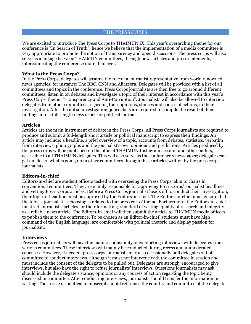THE PRESS CORPS

We are excited to introduce The Press Corps to THAIMUN IX. This year's overarching theme for our conference is "In Search of Truth", hence we believe that the implementation of a media committee is very appropriate to promote the notion of transparency and open discussions. The press corps will also serve as a linkage between THAIMUN committees, through news articles and press statements, interconnecting the conference more than ever.

# **What is the Press Corps?**

In the Press Corps, delegates will assume the role of a journalist representative from world renowned news agencies, for instance: The BBC, CNN and Aljazeera. Delegates will be provided with a list of all committees and topics in the conference. Press Corps journalists are then free to go around different committees, listen in on debates and investigate a topic of their interest in accordance with this year's Press Corps' theme: "Transparency and Anti-Corruption". Journalists will also be allowed to interview delegates from other committees regarding their opinions, stances and course of actions, in their investigation. After the initial investigation, journalists are required to compile the result of their findings into a full-length news article or political journal.

# **Articles**

Articles are the main instrument of debate in the Press Corps. All Press Corps journalists are required to produce and submit a full-length short article or political manuscript to express their findings. An article may include: a headline, a brief overview of a topic, accounts from debates, statistics, verbatim from interviews, photographs and the journalist's own opinions and predictions. Articles produced by the press corps will be published on the official THAIMUN Instagram account and other outlets, accessible to all THAIMUN delegates. This will also serve as the conference's newspaper; delegates can get an idea of what is going on in other committees through these articles written by the press corps' journalists.

#### **Editors-in-chief**

Editors-in-chief are student officers tasked with overseeing the Press Corps, akin to chairs in conventional committees. They are mainly responsible for approving Press Corps' journalist headlines and vetting Press Corps articles. Before a Press Corps journalist heads off to conduct their investigation, their topic or headline must be approved by the Editors-in-chief. The Editors-in-chief must ensure that the topic a journalist is choosing is related to the press corps' theme. Furthermore, the Editors-in-chief must vet journalists' articles for their formatting, standard of writing, quality of research and integrity as a reliable news article. The Editors-in-chief will then submit the article to THAIMUN media officers to publish them to the conference. To be chosen as an Editor-in-chief, students must have high command of the English language, are comfortable with political rhetoric and display passion for journalism.

#### **Interviews**

Press corps journalists will have the main responsibility of conducting interviews with delegates from various committees. These interviews will mainly be conducted during recess and unmoderated caucuses. However, if needed, press corps journalists may also occasionally pull delegates out of committee to conduct interviews, although it must not intervene with the committee in session and must include the consent of the delegate to be pulled out. Delegates are strongly encouraged to give interviews, but also have the right to refuse journalists' interviews. Questions journalists may ask should include the delegate's stance, opinions or any courses of action regarding the topic being discussed in committee. After conducting interviews, journalists should transfer the information in writing. The article or political manuscript should reference the country and committee of the delegate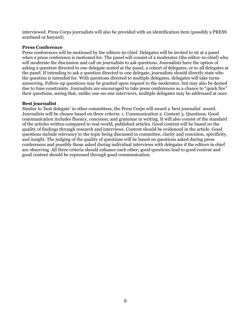interviewed. Press Corps journalists will also be provided with an identification item (possibly a PRESS armband or lanyard).

# **Press Conference**

Press conferences will be motioned by the editors-in-chief. Delegates will be invited to sit at a panel when a press conference is motioned for. The panel will consist of a moderator (the editor-in-chief) who will moderate the discussion and call on journalists to ask questions. Journalists have the option of asking a question directed to one delegate seated at the panel, a cohort of delegates, or to all delegates at the panel. If intending to ask a question directed to one delegate, journalists should directly state who the question is intended for. With questions directed to multiple delegates, delegates will take turns answering. Follow-up questions may be granted upon request to the moderator, but may also be denied due to time constraints. Journalists are encouraged to take press conferences as a chance to "quick fire" their questions, seeing that, unlike one-on-one interviews, multiple delegates may be addressed at once.

# **Best journalist**

Similar to 'best delegate' in other committees, the Press Corps will award a 'best journalist' award. Journalists will be chosen based on three criteria: 1. Communication 2. Content 3. Questions. Good communication includes fluency, concision, and grammar in writing. It will also consist of the standard of the articles written compared to real-world, published articles. Good content will be based on the quality of findings through research and interviews. Content should be evidenced in the article. Good questions include relevancy to the topic being discussed in committee, clarity and concision, specificity, and insight. The judging of the quality of questions will be based on questions asked during press conferences and possibly those asked during individual interviews with delegates if the editors in chief are observing. All three criteria should enhance each other; good questions lead to good content and good content should be expressed through good communication.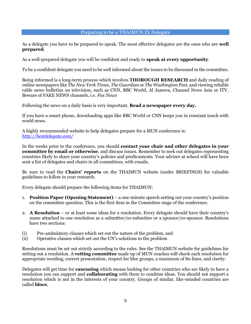#### Preparing to be a THAIMUN IX Delegate

As a delegate you have to be prepared to speak. The most effective delegates are the ones who are **well prepared**.

As a well-prepared delegate you will be confident and ready to **speak at every opportunity**.

To be a confident delegate you need to be well informed about the issues to be discussed in the committee.

Being informed is a long-term process which involves **THOROUGH RESEARCH** and daily reading of online newspapers like *The New York Times*, *The Guardian* or *The Washington Post*, and viewing reliable cable news bulletins on television, such as CNN, BBC World, Al Jazeera, Channel News Asia or ITV. Beware of FAKE NEWS channels, i.e. *Fox News*

Following the news on a daily basis is very important. **Read a newspaper every day.** 

If you have a smart phone, downloading apps like BBC World or CNN keeps you in constant touch with world news.

A highly recommended website to help delegates prepare for a MUN conference is: *<http://bestdelegate.com/>*

In the weeks prior to the conference, you should **contact your chair and other delegates in your committee by email or otherwise**, and discuss issues. Remember to seek out delegates representing countries likely to share your country's policies and predicaments. Your adviser at school will have been sent a list of delegates and chairs in all committees, with emails.

Be sure to read the **Chairs' reports** on the THAIMUN website (under BRIEFINGS) for valuable guidelines to follow in your research.

Every delegate should prepare the following items for THAIMUN:

- 1. **Position Paper (Opening Statement)**  a one-minute speech setting out your country's position on the committee question. This is the first item in the Committee stage of the conference.
- 2. **A Resolution** or at least some ideas for a resolution. Every delegate should have their country's name attached to one resolution as a submitter/co-submitter or a sponsor/co-sponsor. Resolutions have two sections:
- (i) Pre-ambulatory clauses which set out the nature of the problem, and
- (ii) Operative clauses which set out the UN's solutions to the problem

Resolutions must be set out strictly according to the rules. See the THAIMUN website for guidelines for setting out a resolution. A **vetting committee** made up of MUN coaches will check each resolution for appropriate wording, correct presentation, respect for bloc groups, a maximum of 80 lines, and clarity.

Delegates will get time for **caucusing** which means looking for other countries who are likely to have a resolution you can support and **collaborating** with them to combine ideas. You should not support a resolution which is not in the interests of your country. Groups of similar, like-minded countries are called **blocs**.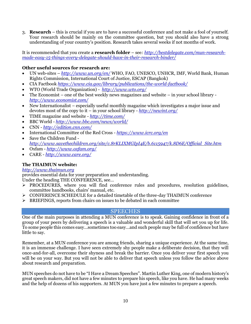3. **Research** – this is crucial if you are to have a successful conference and not make a fool of yourself. Your research should be mainly on the committee question, but you should also have a strong understanding of your country's position. Research takes several weeks if not months of work.

It is recommended that you create a **research folder** – see*: [http://bestdelegate.com/mun-research](http://bestdelegate.com/mun-research-made-easy-15-things-every-delegate-should-have-in-their-research-binder/)[made-easy-15-things-every-delegate-should-have-in-their-research-binder/](http://bestdelegate.com/mun-research-made-easy-15-things-every-delegate-should-have-in-their-research-binder/)*

# **Other useful sources for research are:**

- UN web-sites *<http://www.un.org/en/>* WHO, FAO, UNESCO, UNHCR, IMF, World Bank, Human Rights Commission, International Court of Justice, ESCAP (Bangkok)
- CIA Factbook *<https://www.cia.gov/library/publications/the-world-factbook/>*
- WTO (World Trade Organization) *<http://www.wto.org/>*
- The Economist one of the best weekly news magazines and website in your school library *<http://www.economist.com/>*
- New Internationalist especially useful monthly magazine which investigates a major issue and devotes most of the copy to it – in your school library - *<http://newint.org/>*
- TIME magazine and website *<http://time.com/>*
- BBC World *<http://www.bbc.com/news/world/>*
- CNN *<http://edition.cnn.com/>*
- International Committee of the Red Cross *<https://www.icrc.org/en>*
- Save the Children Fund *[http://www.savethechildren.org/site/c.8rKLIXMGIpI4E/b.6115947/k.8D6E/Official\\_Site.htm](http://www.savethechildren.org/site/c.8rKLIXMGIpI4E/b.6115947/k.8D6E/Official_Site.htm)*
- Oxfam *<http://www.oxfam.org/>*
- CARE *<http://www.care.org/>*

# **The THAIMUN website:**

# *[http://www.thaimun.org](http://www.thaimun.org/)*

provides essential data for your preparation and understanding.

Under the heading THE CONFERENCE, see…

- $\triangleright$  PROCEDURES, where you will find conference rules and procedures, resolution guidelines, committee handbooks, chairs' manual, etc.
- ➢ CONFERENCE SCHEDULE for a detailed timetable of the three-day THAIMUN conference
- ➢ BRIEFINGS, reports from chairs on issues to be debated in each committee

# **SPEECHES**

One of the main purposes in attending a MUN conference is to speak. Gaining confidence in front of a group of your peers by delivering a speech is a valuable and wonderful skill that will set you up for life. To some people this comes easy…sometimes too easy…and such people may be full of confidence but have little to say.

Remember, at a MUN conference you are among friends, sharing a unique experience. At the same time, it is an immense challenge. I have seen extremely shy people make a deliberate decision, that they will once-and-for-all, overcome their shyness and break the barrier. Once you deliver your first speech you will be on your way. But you will not be able to deliver that speech unless you follow the advice above about research and preparation.

MUN speeches do not have to be "I Have a Dream Speeches". Martin Luther King, one of modern history's great speech makers, did not have a few minutes to prepare his speech, like you have. He had many weeks and the help of dozens of his supporters. At MUN you have just a few minutes to prepare a speech.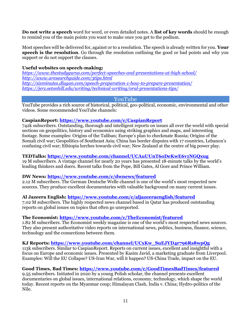**Do not write a speech** word for word, or even detailed notes. A **list of key words** should be enough to remind you of the main points you want to make once you get to the podium.

Most speeches will be delivered for, against or to a resolution. The speech is already written for you. **Your speech is the resolution**. Go through the resolution outlining the good or bad points and why you support or do not support the clauses.

# **Useful websites on speech-making:**

*<https://www.thestudygurus.com/perfect-speeches-and-presentations-at-high-school/> <http://www.aresearchguide.com/3tips.html> <http://sixminutes.dlugan.com/speech-preparation-1-how-to-prepare-presentation/> <https://jerz.setonhill.edu/writing/technical-writing/oral-presentations-tips/>*

# YouTube

YouTube provides a rich source of historical, political, geo-political, economic, environmental and other videos. Some recommended YouTube channels:

# **CaspianReport:<https://www.youtube.com/c/CaspianReport>**

742k subscribers. Outstanding, thorough and intelligent reports on issues all over the world with special sections on geopolitics, history and economics using striking graphics and maps, and interesting footage. Some examples: Origins of the Taliban; Europe's plan to checkmate Russia; Origins of the Somali civil war; Geopolitics of Southeast Asia; China has border disputes with 17 countries, Lebanon's confusing civil war; Ethiopia lurches towards civil war; New Zealand at the centre of big power play.

# **TEDTalks:<https://www.youtube.com/channel/UCAuUUnT6oDeKwE6v1NGQxug>**

19 M subscribers. A vintage channel for nearly 20 years has presented 18-minute talks by the world's leading thinkers and doers. Recent talks from the Pope, Bill Gates, Al Gore and Prince William.

# **DW News:<https://www.youtube.com/c/dwnews/featured>**

2.12 M subscribers. The German Deutsche Welle channel is one of the world's most respected new sources. They produce excellent documentaries with valuable background on many current issues.

# **Al Jazeera English:<https://www.youtube.com/c/aljazeeraenglish/featured>**

7.02 M subscribers. The highly respected news channel based in Qatar has produced outstanding reports on global issues on topics that often go unreported.

# **The Economist:<https://www.youtube.com/c/TheEconomist/featured>**

1.82 M subscribers. The Economist weekly magazine is one of the world's most respected news sources. They also present authoritative video reports on international news, politics, business, finance, science, technology and the connections between them.

# **KJ Reports: [https://www.youtube.com/channel/UCxKw\\_SuEJYD4r796Rs8wpQg](https://www.youtube.com/channel/UCxKw_SuEJYD4r796Rs8wpQg)**

113k subscribers. Similar to CaspianReport. Reports on current issues, excellent and insightful with a focus on Europe and economic issues. Presented by Kasim Javid, a marketing graduate from Liverpool. Examples: Will the EU Collapse? US-Iran War, will it happen? US-China Trade, impact on the EU.

# **Good Times, Bad Times:<https://www.youtube.com/c/GoodTimesBadTimes/featured>**

9.55 subscribers. Initiated in 2020 by a young Polish scholar, the channel presents excellent documentaries on global issues, international relations, economy, technology, which shape the world today. Recent reports on the Myanmar coup; Himalayan Clash, India v. China; Hydro-politics of the Nile.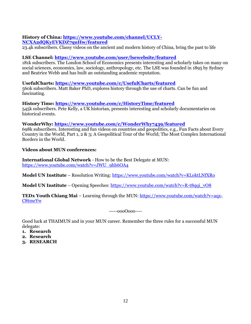# **History of China: [https://www.youtube.com/channel/UCLY-](https://www.youtube.com/channel/UCLY-NCXA2dQKyEVKDZ7quHw/featured)[NCXA2dQKyEVKDZ7quHw/featured](https://www.youtube.com/channel/UCLY-NCXA2dQKyEVKDZ7quHw/featured)**

23.4k subscribers. Classy videos on the ancient and modern history of China, bring the past to life

# **LSE Channel:<https://www.youtube.com/user/lsewebsite/featured>**

181k subscribers. The London School of Economics presents interesting and scholarly takes on many on social sciences, economics, law, sociology, anthropology, etc. The LSE was founded in 1895 by Sydney and Beatrice Webb and has built an outstanding academic reputation.

# **UsefulCharts:<https://www.youtube.com/c/UsefulCharts/featured>**

560k subscribers. Matt Baker PhD, explores history through the use of charts. Can be fun and fascinating.

# **History Time:<https://www.youtube.com/c/HistoryTime/featured>**

545k subscribers. Pete Kelly, a UK historian, presents interesting and scholarly documentaries on historical events.

# **WonderWhy:<https://www.youtube.com/c/WonderWhy7439/featured>**

698k subscribers. Interesting and fun videos on countries and geopolitics, e.g., Fun Facts about Every Country in the World, Part 1, 2 & 3; A Geopolitical Tour of the World; The Most Complex International Borders in the World.

# **Videos about MUN conferences:**

**International Global Network** - How to be the Best Delegate at MUN: [https://www.youtube.com/watch?v=JWU\\_9hh6OA4](https://www.youtube.com/watch?v=JWU_9hh6OA4)

**Model UN Institute** – Resolution Writing:<https://www.youtube.com/watch?v=KLoktLNfXRo>

**Model UN Institute** – Opening Speeches: [https://www.youtube.com/watch?v=R-t8qqi\\_vO8](https://www.youtube.com/watch?v=R-t8qqi_vO8)

**TEDx Youth Chiang Mai** – Learning through the MUN: [https://www.youtube.com/watch?v=aqx-](https://www.youtube.com/watch?v=aqx-C8tmeYw)[C8tmeYw](https://www.youtube.com/watch?v=aqx-C8tmeYw)

-----oooOooo----

Good luck at THAIMUN and in your MUN career. Remember the three rules for a successful MUN delegate:

- **1. Research**
- **2. Research**
- **3. RESEARCH**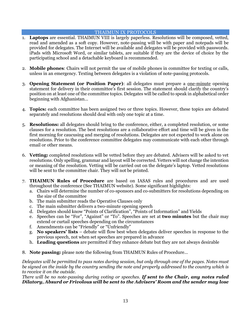# THAIMUN IX PROTOCOLS

- 1. **Laptops** are essential. THAIMUN VIII is largely paperless. Resolutions will be composed, vetted, read and amended as a soft copy. However, note-passing will be with paper and notepads will be provided for delegates. The Internet will be available and delegates will be provided with passwords. iPads with Microsoft Word, or similar tablets, are suitable if they are the device of choice by the participating school and a detachable keyboard is recommended.
- 2. **Mobile phones**: Chairs will not permit the use of mobile phones in committee for texting or calls, unless in an emergency. Texting between delegates is a violation of note-passing protocols.
- 3. **Opening Statement (or Position Paper)**: all delegates must prepare a one-minute opening statement for delivery in their committee's first session. The statement should clarify the country's position on at least one of the committee topics. Delegates will be called to speak in alphabetical order beginning with Afghanistan…
- 4. **Topics:** each committee has been assigned two or three topics. However, these topics are debated separately and resolutions should deal with only one topic at a time.
- 5. **Resolutions:** all delegates should bring to the conference, either, a completed resolution, or some clauses for a resolution. The best resolutions are a collaborative effort and time will be given in the first morning for caucusing and merging of resolutions. Delegates are not expected to work alone on resolutions. Prior to the conference committee delegates may communicate with each other through email or other means.
- 6. **Vetting:** completed resolutions will be vetted before they are debated. Advisers will be asked to vet resolutions. Only spelling, grammar and layout will be corrected. Vetters will not change the intention or meaning of the resolution. Vetting will be carried out on the delegate's laptop. Vetted resolutions will be sent to the committee chair. They will not be printed.
- 7. **THAIMUN Rules of Procedure** are based on IASAS rules and procedures and are used throughout the conference (See THAIMUN website). Some significant highlights:
	- a. Chairs will determine the number of co-sponsors and co-submitters for resolutions depending on the size of the committee
	- b. The main submitter reads the Operative Clauses only
	- c. The main submitter delivers a two-minute opening speech
	- d. Delegates should know "Points of Clarification", "Points of Information" and Yields
	- e. Speeches can be "For", "Against" or "To". Speeches are set at **two minutes** but the chair may extend or curtail speeches depending on the circumstances
	- f. Amendments can be "Friendly" or "Unfriendly"
	- g. **No speakers' lists** debate will flow best when delegates deliver speeches in response to the previous speech, not when set speeches are prepared in advance
	- h. **Leading questions** are permitted if they enhance debate but they are not always desirable
- 8. **Note passing:** please note the following from THAIMUN Rules of Procedure…

*Delegates will be permitted to pass notes during session, but only through one of the pages. Notes must be signed on the inside by the country sending the note and properly addressed to the country which is to receive it on the outside.* 

*There will be no note-passing during voting or speeches. If sent to the Chair, any notes ruled Dilatory, Absurd or Frivolous will be sent to the Advisers' Room and the sender may lose*